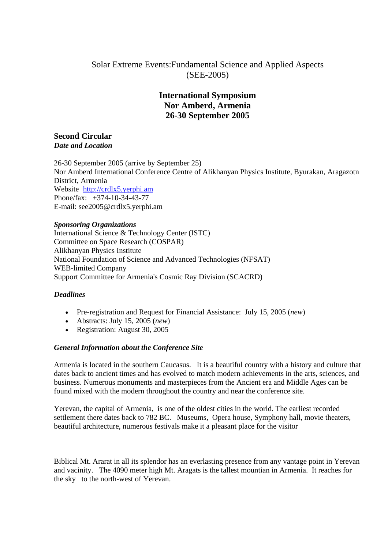# Solar Extreme Events:Fundamental Science and Applied Aspects (SEE-2005)

# **International Symposium Nor Amberd, Armenia 26-30 September 2005**

# **Second Circular**  *Date and Location*

26-30 September 2005 (arrive by September 25) Nor Amberd International Conference Centre of Alikhanyan Physics Institute, Byurakan, Aragazotn District, Armenia Website http://crdlx5.yerphi.am Phone/fax: +374-10-34-43-77 E-mail: see2005@crdlx5.yerphi.am

## *Sponsoring Organizations*

International Science & Technology Center (ISTC) Committee on Space Research (COSPAR) Alikhanyan Physics Institute National Foundation of Science and Advanced Technologies (NFSAT) WEB-limited Company Support Committee for Armenia's Cosmic Ray Division (SCACRD)

# *Deadlines*

- Pre-registration and Request for Financial Assistance: July 15, 2005 (*new*)
- Abstracts: July 15, 2005 (*new*)
- Registration: August 30, 2005

# *General Information about the Conference Site*

Armenia is located in the southern Caucasus. It is a beautiful country with a history and culture that dates back to ancient times and has evolved to match modern achievements in the arts, sciences, and business. Numerous monuments and masterpieces from the Ancient era and Middle Ages can be found mixed with the modern throughout the country and near the conference site.

Yerevan, the capital of Armenia, is one of the oldest cities in the world. The earliest recorded settlement there dates back to 782 BC. Museums, Opera house, Symphony hall, movie theaters, beautiful architecture, numerous festivals make it a pleasant place for the visitor

Biblical Mt. Ararat in all its splendor has an everlasting presence from any vantage point in Yerevan and vacinity. The 4090 meter high Mt. Aragats is the tallest mountian in Armenia. It reaches for the sky to the north-west of Yerevan.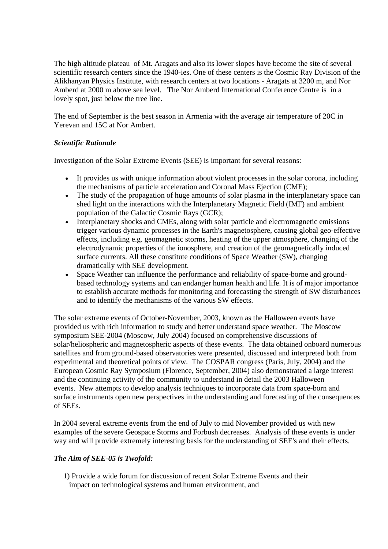The high altitude plateau of Mt. Aragats and also its lower slopes have become the site of several scientific research centers since the 1940-ies. One of these centers is the Cosmic Ray Division of the Alikhanyan Physics Institute, with research centers at two locations - Aragats at 3200 m, and Nor Amberd at 2000 m above sea level. The Nor Amberd International Conference Centre is in a lovely spot, just below the tree line.

The end of September is the best season in Armenia with the average air temperature of 20C in Yerevan and 15C at Nor Ambert.

## *Scientific Rationale*

Investigation of the Solar Extreme Events (SEE) is important for several reasons:

- It provides us with unique information about violent processes in the solar corona, including the mechanisms of particle acceleration and Coronal Mass Ejection (CME);
- The study of the propagation of huge amounts of solar plasma in the interplanetary space can shed light on the interactions with the Interplanetary Magnetic Field (IMF) and ambient population of the Galactic Cosmic Rays (GCR);
- Interplanetary shocks and CMEs, along with solar particle and electromagnetic emissions trigger various dynamic processes in the Earth's magnetosphere, causing global geo-effective effects, including e.g. geomagnetic storms, heating of the upper atmosphere, changing of the electrodynamic properties of the ionosphere, and creation of the geomagnetically induced surface currents. All these constitute conditions of Space Weather (SW), changing dramatically with SEE development.
- Space Weather can influence the performance and reliability of space-borne and groundbased technology systems and can endanger human health and life. It is of major importance to establish accurate methods for monitoring and forecasting the strength of SW disturbances and to identify the mechanisms of the various SW effects.

The solar extreme events of October-November, 2003, known as the Halloween events have provided us with rich information to study and better understand space weather. The Moscow symposium SEE-2004 (Moscow, July 2004) focused on comprehensive discussions of solar/heliospheric and magnetospheric aspects of these events. The data obtained onboard numerous satellites and from ground-based observatories were presented, discussed and interpreted both from experimental and theoretical points of view. The COSPAR congress (Paris, July, 2004) and the European Cosmic Ray Symposium (Florence, September, 2004) also demonstrated a large interest and the continuing activity of the community to understand in detail the 2003 Halloween events. New attempts to develop analysis techniques to incorporate data from space-born and surface instruments open new perspectives in the understanding and forecasting of the consequences of SEEs.

In 2004 several extreme events from the end of July to mid November provided us with new examples of the severe Geospace Storms and Forbush decreases. Analysis of these events is under way and will provide extremely interesting basis for the understanding of SEE's and their effects.

# *The Aim of SEE-05 is Twofold:*

 1) Provide a wide forum for discussion of recent Solar Extreme Events and their impact on technological systems and human environment, and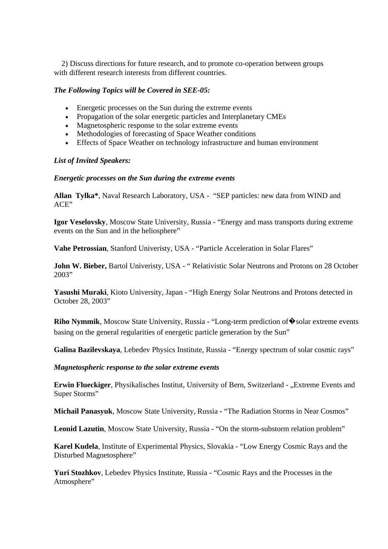2) Discuss directions for future research, and to promote co-operation between groups with different research interests from different countries.

#### *The Following Topics will be Covered in SEE-05:*

- Energetic processes on the Sun during the extreme events
- Propagation of the solar energetic particles and Interplanetary CMEs
- Magnetospheric response to the solar extreme events
- Methodologies of forecasting of Space Weather conditions
- Effects of Space Weather on technology infrastructure and human environment

#### *List of Invited Speakers:*

#### *Energetic processes on the Sun during the extreme events*

**Allan Tylka\***, Naval Research Laboratory, USA - "SEP particles: new data from WIND and ACE"

**Igor Veselovsky**, Moscow State University, Russia - "Energy and mass transports during extreme events on the Sun and in the heliosphere"

**Vahe Petrossian**, Stanford Univeristy, USA - "Particle Acceleration in Solar Flares"

**John W. Bieber,** Bartol Univeristy, USA - " Relativistic Solar Neutrons and Protons on 28 October 2003"

**Yasushi Muraki**, Kioto University, Japan - "High Energy Solar Neutrons and Protons detected in October 28, 2003"

**Riho Nymmik**, Moscow State University, Russia - "Long-term prediction of ♦ solar extreme events basing on the general regularities of energetic particle generation by the Sun"

**Galina Bazilevskaya**, Lebedev Physics Institute, Russia - "Energy spectrum of solar cosmic rays"

*Magnetospheric response to the solar extreme events*

**Erwin Flueckiger**, Physikalisches Institut, University of Bern, Switzerland - "Extreme Events and Super Storms"

**Michail Panasyuk**, Moscow State University, Russia **-** "The Radiation Storms in Near Cosmos"

**Leonid Lazutin**, Moscow State University, Russia - "On the storm-substorm relation problem"

**Karel Kudela**, Institute of Experimental Physics, Slovakia - "Low Energy Cosmic Rays and the Disturbed Magnetosphere"

**Yuri Stozhkov**, Lebedev Physics Institute, Russia - "Cosmic Rays and the Processes in the Atmosphere"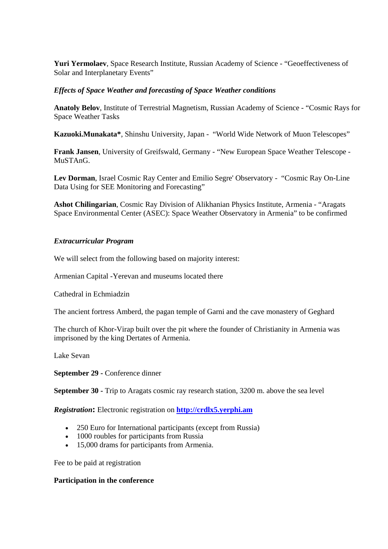**Yuri Yermolaev**, Space Research Institute, Russian Academy of Science - "Geoeffectiveness of Solar and Interplanetary Events"

#### *Effects of Space Weather and forecasting of Space Weather conditions*

**Anatoly Belov**, Institute of Terrestrial Magnetism, Russian Academy of Science - "Cosmic Rays for Space Weather Tasks

**Kazuoki.Munakata\***, Shinshu University, Japan - "World Wide Network of Muon Telescopes"

**Frank Jansen**, University of Greifswald, Germany - "New European Space Weather Telescope - MuSTAnG.

**Lev Dorman**, Israel Cosmic Ray Center and Emilio Segre' Observatory - "Cosmic Ray On-Line Data Using for SEE Monitoring and Forecasting"

**Ashot Chilingarian**, Cosmic Ray Division of Alikhanian Physics Institute, Armenia - "Aragats Space Environmental Center (ASEC): Space Weather Observatory in Armenia" to be confirmed

## *Extracurricular Program*

We will select from the following based on majority interest:

Armenian Capital -Yerevan and museums located there

Cathedral in Echmiadzin

The ancient fortress Amberd, the pagan temple of Garni and the cave monastery of Geghard

The church of Khor-Virap built over the pit where the founder of Christianity in Armenia was imprisoned by the king Dertates of Armenia.

Lake Sevan

**September 29 -** Conference dinner

**September 30 -** Trip to Aragats cosmic ray research station, 3200 m. above the sea level

*Registration***:** Electronic registration on **http://crdlx5.yerphi.am**

- 250 Euro for International participants (except from Russia)
- 1000 roubles for participants from Russia
- 15,000 drams for participants from Armenia.

Fee to be paid at registration

#### **Participation in the conference**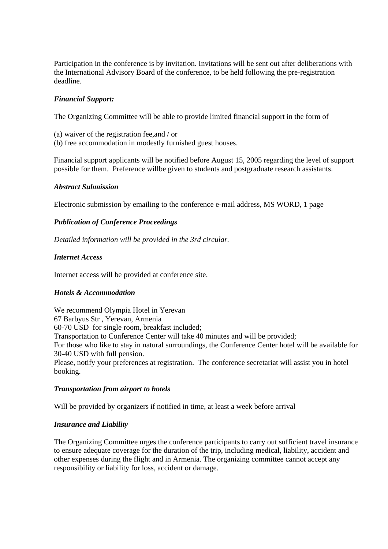Participation in the conference is by invitation. Invitations will be sent out after deliberations with the International Advisory Board of the conference, to be held following the pre-registration deadline.

## *Financial Support:*

The Organizing Committee will be able to provide limited financial support in the form of

- (a) waiver of the registration fee,and / or
- (b) free accommodation in modestly furnished guest houses.

Financial support applicants will be notified before August 15, 2005 regarding the level of support possible for them. Preference willbe given to students and postgraduate research assistants.

#### *Abstract Submission*

Electronic submission by emailing to the conference e-mail address, MS WORD, 1 page

#### *Publication of Conference Proceedings*

*Detailed information will be provided in the 3rd circular.*

#### *Internet Access*

Internet access will be provided at conference site.

#### *Hotels & Accommodation*

We recommend Olympia Hotel in Yerevan 67 Barbyus Str , Yerevan, Armenia 60-70 USD for single room, breakfast included; Transportation to Conference Center will take 40 minutes and will be provided; For those who like to stay in natural surroundings, the Conference Center hotel will be available for 30-40 USD with full pension. Please, notify your preferences at registration. The conference secretariat will assist you in hotel booking.

#### *Transportation from airport to hotels*

Will be provided by organizers if notified in time, at least a week before arrival

#### *Insurance and Liability*

The Organizing Committee urges the conference participants to carry out sufficient travel insurance to ensure adequate coverage for the duration of the trip, including medical, liability, accident and other expenses during the flight and in Armenia. The organizing committee cannot accept any responsibility or liability for loss, accident or damage.